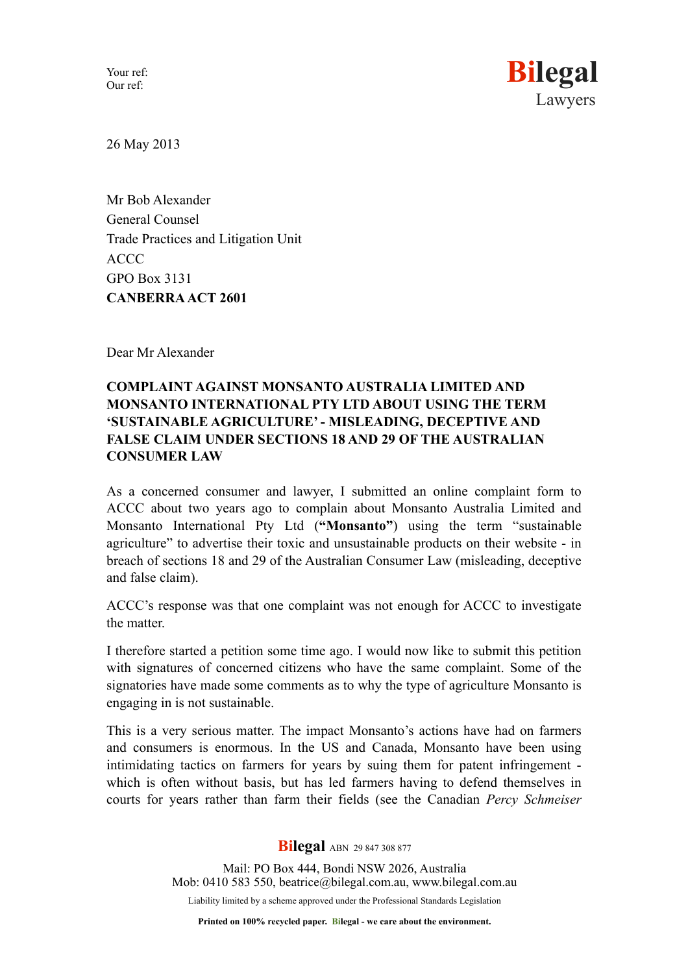Your ref: Our ref:



26 May 2013

Mr Bob Alexander General Counsel Trade Practices and Litigation Unit ACCC GPO Box 3131 **CANBERRA ACT 2601**

Dear Mr Alexander

## **COMPLAINT AGAINST MONSANTO AUSTRALIA LIMITED AND MONSANTO INTERNATIONAL PTY LTD ABOUT USING THE TERM 'SUSTAINABLE AGRICULTURE' - MISLEADING, DECEPTIVE AND FALSE CLAIM UNDER SECTIONS 18 AND 29 OF THE AUSTRALIAN CONSUMER LAW**

As a concerned consumer and lawyer, I submitted an online complaint form to ACCC about two years ago to complain about Monsanto Australia Limited and Monsanto International Pty Ltd (**"Monsanto"**) using the term "sustainable agriculture" to advertise their toxic and unsustainable products on their website - in breach of sections 18 and 29 of the Australian Consumer Law (misleading, deceptive and false claim).

ACCC's response was that one complaint was not enough for ACCC to investigate the matter.

I therefore started a petition some time ago. I would now like to submit this petition with signatures of concerned citizens who have the same complaint. Some of the signatories have made some comments as to why the type of agriculture Monsanto is engaging in is not sustainable.

This is a very serious matter. The impact Monsanto's actions have had on farmers and consumers is enormous. In the US and Canada, Monsanto have been using intimidating tactics on farmers for years by suing them for patent infringement which is often without basis, but has led farmers having to defend themselves in courts for years rather than farm their fields (see the Canadian *Percy Schmeiser*

**Bilegal** ABN 29 847 308 877

Mail: PO Box 444, Bondi NSW 2026, Australia Mob: 0410 583 550, beatrice@bilegal.com.a[u, www.bilegal.com.au](http://www.bilegal.com.au) Liability limited by a scheme approved under the Professional Standards Legislation

**Printed on 100% recycled paper. Bilegal - we care about the environment.**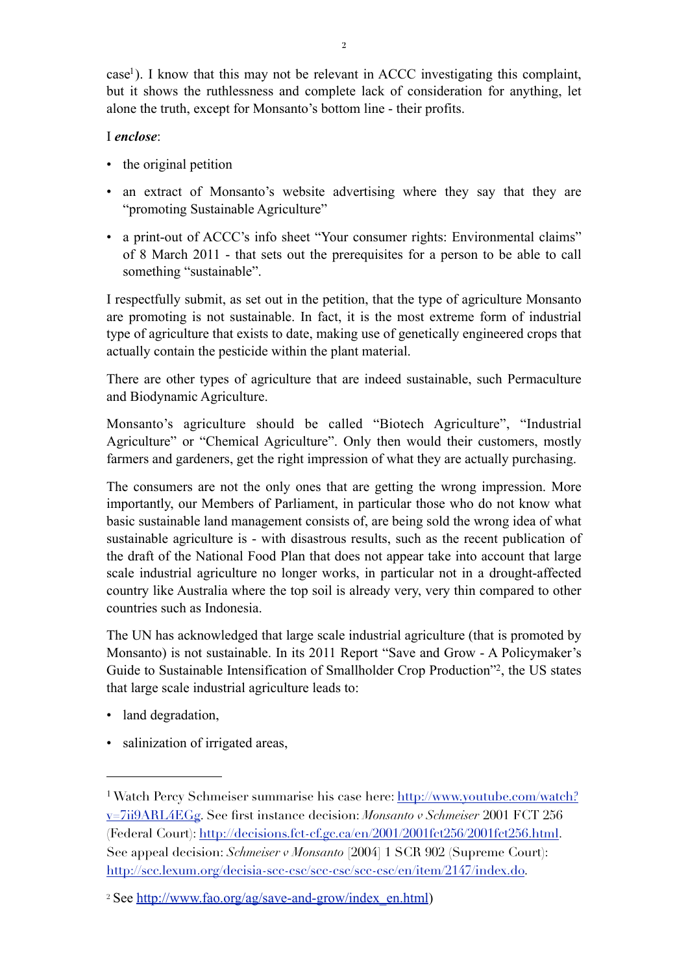$\alpha$  case<sup>1</sup>). I know that this may not be relevant in ACCC investigating this complaint, but it shows the ruthlessness and complete lack of consideration for anything, let alone the truth, except for Monsanto's bottom line - their profits.

## I *enclose*:

- the original petition
- an extract of Monsanto's website advertising where they say that they are "promoting Sustainable Agriculture"
- a print-out of ACCC's info sheet "Your consumer rights: Environmental claims" of 8 March 2011 - that sets out the prerequisites for a person to be able to call something "sustainable".

I respectfully submit, as set out in the petition, that the type of agriculture Monsanto are promoting is not sustainable. In fact, it is the most extreme form of industrial type of agriculture that exists to date, making use of genetically engineered crops that actually contain the pesticide within the plant material.

There are other types of agriculture that are indeed sustainable, such Permaculture and Biodynamic Agriculture.

Monsanto's agriculture should be called "Biotech Agriculture", "Industrial Agriculture" or "Chemical Agriculture". Only then would their customers, mostly farmers and gardeners, get the right impression of what they are actually purchasing.

The consumers are not the only ones that are getting the wrong impression. More importantly, our Members of Parliament, in particular those who do not know what basic sustainable land management consists of, are being sold the wrong idea of what sustainable agriculture is - with disastrous results, such as the recent publication of the draft of the National Food Plan that does not appear take into account that large scale industrial agriculture no longer works, in particular not in a drought-affected country like Australia where the top soil is already very, very thin compared to other countries such as Indonesia.

The UN has acknowledged that large scale industrial agriculture (that is promoted by Monsanto) is not sustainable. In its 2011 Report "Save and Grow - A Policymaker's Guide to Sustainable Intensification of Smallholder Crop Production["2](#page-1-1), the US states that large scale industrial agriculture leads to:

- land degradation,
- salinization of irrigated areas,

<span id="page-1-0"></span><sup>1</sup> Watch Percy Schmeiser summarise his case here: [http://www.youtube.com/watch?](http://www.youtube.com/watch?v=7ii9ARL4EGg) [v=7ii9ARL4EGg](http://www.youtube.com/watch?v=7ii9ARL4EGg). See first instance decision: *Monsanto v Schmeiser* 2001 FCT 256 (Federal Court):<http://decisions.fct-cf.gc.ca/en/2001/2001fct256/2001fct256.html>. See appeal decision: *Schmeiser v Monsanto* [2004] 1 SCR 902 (Supreme Court): <http://scc.lexum.org/decisia-scc-csc/scc-csc/scc-csc/en/item/2147/index.do>.

<span id="page-1-1"></span><sup>&</sup>lt;sup>2</sup> See [http://www.fao.org/ag/save-and-grow/index\\_en.html\)](http://www.fao.org/ag/save-and-grow/index_en.html)